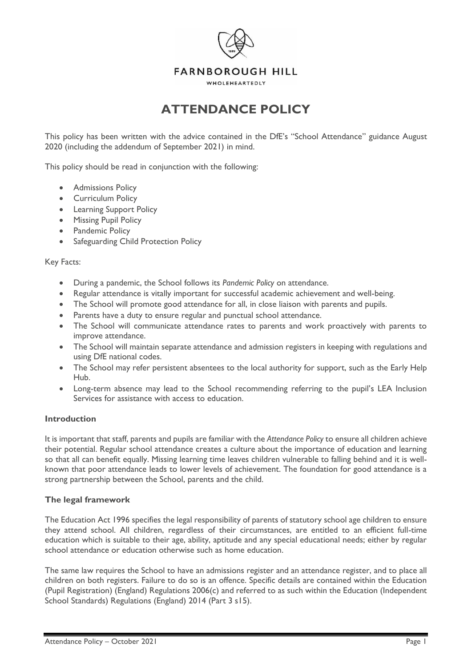

WHOLEHEARTEDLY

# **ATTENDANCE POLICY**

This policy has been written with the advice contained in the DfE's "School Attendance" guidance August 2020 (including the addendum of September 2021) in mind.

This policy should be read in conjunction with the following:

- Admissions Policy
- Curriculum Policy
- Learning Support Policy
- Missing Pupil Policy
- Pandemic Policy
- Safeguarding Child Protection Policy

#### Key Facts:

- During a pandemic, the School follows its *Pandemic Policy* on attendance.
- Regular attendance is vitally important for successful academic achievement and well-being.
- The School will promote good attendance for all, in close liaison with parents and pupils.
- Parents have a duty to ensure regular and punctual school attendance.
- The School will communicate attendance rates to parents and work proactively with parents to improve attendance.
- The School will maintain separate attendance and admission registers in keeping with regulations and using DfE national codes.
- The School may refer persistent absentees to the local authority for support, such as the Early Help Hub.
- Long-term absence may lead to the School recommending referring to the pupil's LEA Inclusion Services for assistance with access to education.

#### **Introduction**

It is important that staff, parents and pupils are familiar with the *Attendance Policy* to ensure all children achieve their potential. Regular school attendance creates a culture about the importance of education and learning so that all can benefit equally. Missing learning time leaves children vulnerable to falling behind and it is wellknown that poor attendance leads to lower levels of achievement. The foundation for good attendance is a strong partnership between the School, parents and the child.

#### **The legal framework**

The Education Act 1996 specifies the legal responsibility of parents of statutory school age children to ensure they attend school. All children, regardless of their circumstances, are entitled to an efficient full-time education which is suitable to their age, ability, aptitude and any special educational needs; either by regular school attendance or education otherwise such as home education.

The same law requires the School to have an admissions register and an attendance register, and to place all children on both registers. Failure to do so is an offence. Specific details are contained within the Education (Pupil Registration) (England) Regulations 2006(c) and referred to as such within the Education (Independent School Standards) Regulations (England) 2014 (Part 3 s15).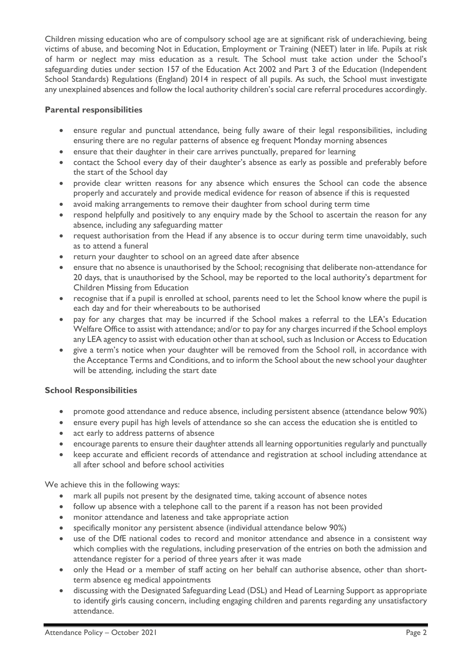Children missing education who are of compulsory school age are at significant risk of underachieving, being victims of abuse, and becoming Not in Education, Employment or Training (NEET) later in life. Pupils at risk of harm or neglect may miss education as a result. The School must take action under the School's safeguarding duties under section 157 of the Education Act 2002 and Part 3 of the Education (Independent School Standards) Regulations (England) 2014 in respect of all pupils. As such, the School must investigate any unexplained absences and follow the local authority children's social care referral procedures accordingly.

## **Parental responsibilities**

- ensure regular and punctual attendance, being fully aware of their legal responsibilities, including ensuring there are no regular patterns of absence eg frequent Monday morning absences
- ensure that their daughter in their care arrives punctually, prepared for learning
- contact the School every day of their daughter's absence as early as possible and preferably before the start of the School day
- provide clear written reasons for any absence which ensures the School can code the absence properly and accurately and provide medical evidence for reason of absence if this is requested
- avoid making arrangements to remove their daughter from school during term time
- respond helpfully and positively to any enquiry made by the School to ascertain the reason for any absence, including any safeguarding matter
- request authorisation from the Head if any absence is to occur during term time unavoidably, such as to attend a funeral
- return your daughter to school on an agreed date after absence
- ensure that no absence is unauthorised by the School; recognising that deliberate non-attendance for 20 days, that is unauthorised by the School, may be reported to the local authority's department for Children Missing from Education
- recognise that if a pupil is enrolled at school, parents need to let the School know where the pupil is each day and for their whereabouts to be authorised
- pay for any charges that may be incurred if the School makes a referral to the LEA's Education Welfare Office to assist with attendance; and/or to pay for any charges incurred if the School employs any LEA agency to assist with education other than at school, such as Inclusion or Access to Education
- give a term's notice when your daughter will be removed from the School roll, in accordance with the Acceptance Terms and Conditions, and to inform the School about the new school your daughter will be attending, including the start date

## **School Responsibilities**

- promote good attendance and reduce absence, including persistent absence (attendance below 90%)
- ensure every pupil has high levels of attendance so she can access the education she is entitled to
- act early to address patterns of absence
- encourage parents to ensure their daughter attends all learning opportunities regularly and punctually
- keep accurate and efficient records of attendance and registration at school including attendance at all after school and before school activities

We achieve this in the following ways:

- mark all pupils not present by the designated time, taking account of absence notes
- follow up absence with a telephone call to the parent if a reason has not been provided
- monitor attendance and lateness and take appropriate action
- specifically monitor any persistent absence (individual attendance below 90%)
- use of the DfE national codes to record and monitor attendance and absence in a consistent way which complies with the regulations, including preservation of the entries on both the admission and attendance register for a period of three years after it was made
- only the Head or a member of staff acting on her behalf can authorise absence, other than shortterm absence eg medical appointments
- discussing with the Designated Safeguarding Lead (DSL) and Head of Learning Support as appropriate to identify girls causing concern, including engaging children and parents regarding any unsatisfactory attendance.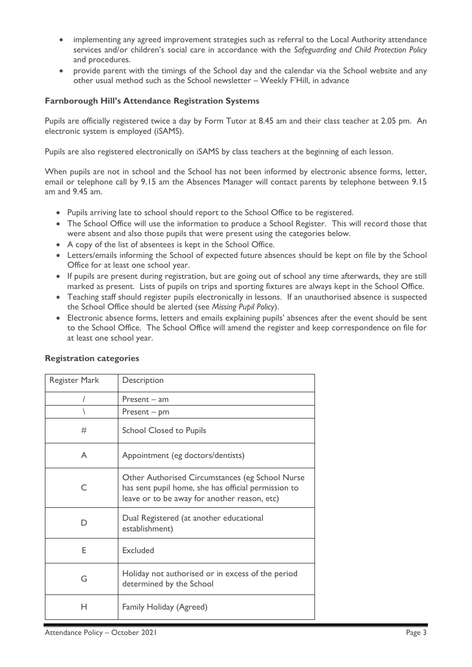- implementing any agreed improvement strategies such as referral to the Local Authority attendance services and/or children's social care in accordance with the *Safeguarding and Child Protection Policy* and procedures.
- provide parent with the timings of the School day and the calendar via the School website and any other usual method such as the School newsletter – Weekly F'Hill, in advance

### **Farnborough Hill's Attendance Registration Systems**

Pupils are officially registered twice a day by Form Tutor at 8.45 am and their class teacher at 2.05 pm. An electronic system is employed (iSAMS).

Pupils are also registered electronically on iSAMS by class teachers at the beginning of each lesson.

When pupils are not in school and the School has not been informed by electronic absence forms, letter, email or telephone call by 9.15 am the Absences Manager will contact parents by telephone between 9.15 am and 9.45 am.

- Pupils arriving late to school should report to the School Office to be registered.
- The School Office will use the information to produce a School Register. This will record those that were absent and also those pupils that were present using the categories below.
- A copy of the list of absentees is kept in the School Office.
- Letters/emails informing the School of expected future absences should be kept on file by the School Office for at least one school year.
- If pupils are present during registration, but are going out of school any time afterwards, they are still marked as present. Lists of pupils on trips and sporting fixtures are always kept in the School Office.
- Teaching staff should register pupils electronically in lessons. If an unauthorised absence is suspected the School Office should be alerted (see *Missing Pupil Policy*).
- Electronic absence forms, letters and emails explaining pupils' absences after the event should be sent to the School Office. The School Office will amend the register and keep correspondence on file for at least one school year.

| Register Mark | Description                                                                                                                                            |
|---------------|--------------------------------------------------------------------------------------------------------------------------------------------------------|
|               | $Present - am$                                                                                                                                         |
|               | $Present - pm$                                                                                                                                         |
| #             | <b>School Closed to Pupils</b>                                                                                                                         |
| A             | Appointment (eg doctors/dentists)                                                                                                                      |
| $\subset$     | Other Authorised Circumstances (eg School Nurse<br>has sent pupil home, she has official permission to<br>leave or to be away for another reason, etc) |
|               | Dual Registered (at another educational<br>establishment)                                                                                              |
| F             | Excluded                                                                                                                                               |
| G             | Holiday not authorised or in excess of the period<br>determined by the School                                                                          |
| н             | Family Holiday (Agreed)                                                                                                                                |

### **Registration categories**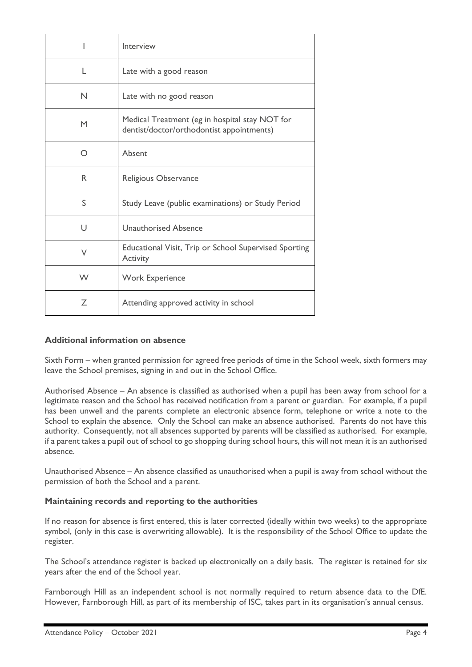|              | Interview                                                                                   |
|--------------|---------------------------------------------------------------------------------------------|
| L            | Late with a good reason                                                                     |
| N            | Late with no good reason                                                                    |
| M            | Medical Treatment (eg in hospital stay NOT for<br>dentist/doctor/orthodontist appointments) |
| ∩            | Absent                                                                                      |
| R.           | Religious Observance                                                                        |
| S            | Study Leave (public examinations) or Study Period                                           |
| $\mathsf{I}$ | <b>Unauthorised Absence</b>                                                                 |
| V            | Educational Visit, Trip or School Supervised Sporting<br><b>Activity</b>                    |
| W            | <b>Work Experience</b>                                                                      |
| 7            | Attending approved activity in school                                                       |

## **Additional information on absence**

Sixth Form – when granted permission for agreed free periods of time in the School week, sixth formers may leave the School premises, signing in and out in the School Office.

Authorised Absence – An absence is classified as authorised when a pupil has been away from school for a legitimate reason and the School has received notification from a parent or guardian. For example, if a pupil has been unwell and the parents complete an electronic absence form, telephone or write a note to the School to explain the absence. Only the School can make an absence authorised. Parents do not have this authority. Consequently, not all absences supported by parents will be classified as authorised. For example, if a parent takes a pupil out of school to go shopping during school hours, this will not mean it is an authorised absence.

Unauthorised Absence – An absence classified as unauthorised when a pupil is away from school without the permission of both the School and a parent.

### **Maintaining records and reporting to the authorities**

If no reason for absence is first entered, this is later corrected (ideally within two weeks) to the appropriate symbol, (only in this case is overwriting allowable). It is the responsibility of the School Office to update the register.

The School's attendance register is backed up electronically on a daily basis. The register is retained for six years after the end of the School year.

Farnborough Hill as an independent school is not normally required to return absence data to the DfE. However, Farnborough Hill, as part of its membership of ISC, takes part in its organisation's annual census.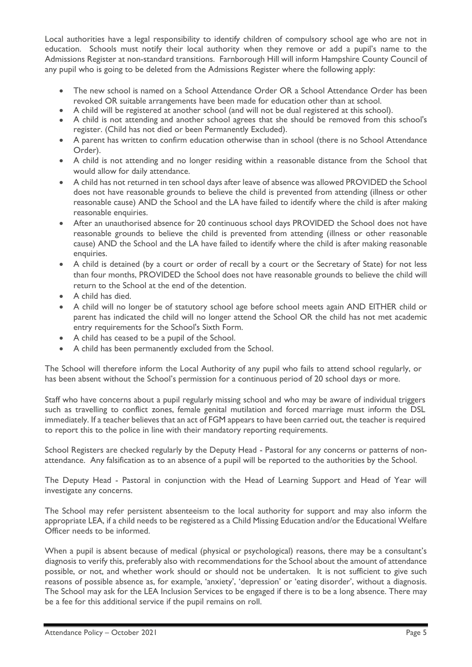Local authorities have a legal responsibility to identify children of compulsory school age who are not in education. Schools must notify their local authority when they remove or add a pupil's name to the Admissions Register at non-standard transitions. Farnborough Hill will inform Hampshire County Council of any pupil who is going to be deleted from the Admissions Register where the following apply:

- The new school is named on a School Attendance Order OR a School Attendance Order has been revoked OR suitable arrangements have been made for education other than at school.
- A child will be registered at another school (and will not be dual registered at this school).
- A child is not attending and another school agrees that she should be removed from this school's register. (Child has not died or been Permanently Excluded).
- A parent has written to confirm education otherwise than in school (there is no School Attendance Order).
- A child is not attending and no longer residing within a reasonable distance from the School that would allow for daily attendance.
- A child has not returned in ten school days after leave of absence was allowed PROVIDED the School does not have reasonable grounds to believe the child is prevented from attending (illness or other reasonable cause) AND the School and the LA have failed to identify where the child is after making reasonable enquiries.
- After an unauthorised absence for 20 continuous school days PROVIDED the School does not have reasonable grounds to believe the child is prevented from attending (illness or other reasonable cause) AND the School and the LA have failed to identify where the child is after making reasonable enquiries.
- A child is detained (by a court or order of recall by a court or the Secretary of State) for not less than four months, PROVIDED the School does not have reasonable grounds to believe the child will return to the School at the end of the detention.
- A child has died.
- A child will no longer be of statutory school age before school meets again AND EITHER child or parent has indicated the child will no longer attend the School OR the child has not met academic entry requirements for the School's Sixth Form.
- A child has ceased to be a pupil of the School.
- A child has been permanently excluded from the School.

The School will therefore inform the Local Authority of any pupil who fails to attend school regularly, or has been absent without the School's permission for a continuous period of 20 school days or more.

Staff who have concerns about a pupil regularly missing school and who may be aware of individual triggers such as travelling to conflict zones, female genital mutilation and forced marriage must inform the DSL immediately. If a teacher believes that an act of FGM appears to have been carried out, the teacher is required to report this to the police in line with their mandatory reporting requirements.

School Registers are checked regularly by the Deputy Head - Pastoral for any concerns or patterns of nonattendance. Any falsification as to an absence of a pupil will be reported to the authorities by the School.

The Deputy Head - Pastoral in conjunction with the Head of Learning Support and Head of Year will investigate any concerns.

The School may refer persistent absenteeism to the local authority for support and may also inform the appropriate LEA, if a child needs to be registered as a Child Missing Education and/or the Educational Welfare Officer needs to be informed.

When a pupil is absent because of medical (physical or psychological) reasons, there may be a consultant's diagnosis to verify this, preferably also with recommendations for the School about the amount of attendance possible, or not, and whether work should or should not be undertaken. It is not sufficient to give such reasons of possible absence as, for example, 'anxiety', 'depression' or 'eating disorder', without a diagnosis. The School may ask for the LEA Inclusion Services to be engaged if there is to be a long absence. There may be a fee for this additional service if the pupil remains on roll.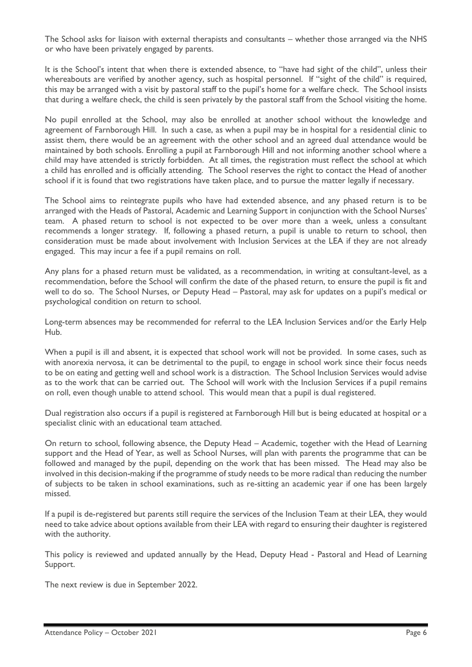The School asks for liaison with external therapists and consultants – whether those arranged via the NHS or who have been privately engaged by parents.

It is the School's intent that when there is extended absence, to "have had sight of the child", unless their whereabouts are verified by another agency, such as hospital personnel. If "sight of the child" is required, this may be arranged with a visit by pastoral staff to the pupil's home for a welfare check. The School insists that during a welfare check, the child is seen privately by the pastoral staff from the School visiting the home.

No pupil enrolled at the School, may also be enrolled at another school without the knowledge and agreement of Farnborough Hill. In such a case, as when a pupil may be in hospital for a residential clinic to assist them, there would be an agreement with the other school and an agreed dual attendance would be maintained by both schools. Enrolling a pupil at Farnborough Hill and not informing another school where a child may have attended is strictly forbidden. At all times, the registration must reflect the school at which a child has enrolled and is officially attending. The School reserves the right to contact the Head of another school if it is found that two registrations have taken place, and to pursue the matter legally if necessary.

The School aims to reintegrate pupils who have had extended absence, and any phased return is to be arranged with the Heads of Pastoral, Academic and Learning Support in conjunction with the School Nurses' team. A phased return to school is not expected to be over more than a week, unless a consultant recommends a longer strategy. If, following a phased return, a pupil is unable to return to school, then consideration must be made about involvement with Inclusion Services at the LEA if they are not already engaged. This may incur a fee if a pupil remains on roll.

Any plans for a phased return must be validated, as a recommendation, in writing at consultant-level, as a recommendation, before the School will confirm the date of the phased return, to ensure the pupil is fit and well to do so. The School Nurses, or Deputy Head – Pastoral, may ask for updates on a pupil's medical or psychological condition on return to school.

Long-term absences may be recommended for referral to the LEA Inclusion Services and/or the Early Help Hub.

When a pupil is ill and absent, it is expected that school work will not be provided. In some cases, such as with anorexia nervosa, it can be detrimental to the pupil, to engage in school work since their focus needs to be on eating and getting well and school work is a distraction. The School Inclusion Services would advise as to the work that can be carried out. The School will work with the Inclusion Services if a pupil remains on roll, even though unable to attend school. This would mean that a pupil is dual registered.

Dual registration also occurs if a pupil is registered at Farnborough Hill but is being educated at hospital or a specialist clinic with an educational team attached.

On return to school, following absence, the Deputy Head – Academic, together with the Head of Learning support and the Head of Year, as well as School Nurses, will plan with parents the programme that can be followed and managed by the pupil, depending on the work that has been missed. The Head may also be involved in this decision-making if the programme of study needs to be more radical than reducing the number of subjects to be taken in school examinations, such as re-sitting an academic year if one has been largely missed.

If a pupil is de-registered but parents still require the services of the Inclusion Team at their LEA, they would need to take advice about options available from their LEA with regard to ensuring their daughter is registered with the authority.

This policy is reviewed and updated annually by the Head, Deputy Head - Pastoral and Head of Learning Support.

The next review is due in September 2022.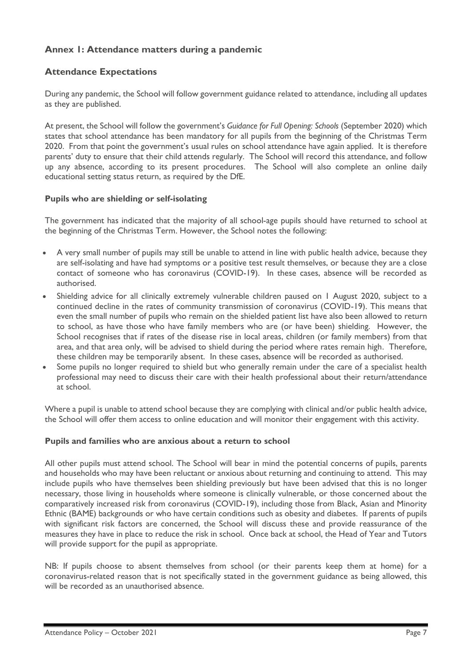# **Annex 1: Attendance matters during a pandemic**

# **Attendance Expectations**

During any pandemic, the School will follow government guidance related to attendance, including all updates as they are published.

At present, the School will follow the government's *Guidance for Full Opening: Schools* (September 2020) which states that school attendance has been mandatory for all pupils from the beginning of the Christmas Term 2020. From that point the government's usual rules on school attendance have again applied. It is therefore parents' duty to ensure that their child attends regularly. The School will record this attendance, and follow up any absence, according to its present procedures. The School will also complete an online daily educational setting status return, as required by the DfE.

### **Pupils who are shielding or self-isolating**

The government has indicated that the majority of all school-age pupils should have returned to school at the beginning of the Christmas Term. However, the School notes the following:

- A very small number of pupils may still be unable to attend in line with public health advice, because they are self-isolating and have had symptoms or a positive test result themselves, or because they are a close contact of someone who has coronavirus (COVID-19). In these cases, absence will be recorded as authorised.
- Shielding advice for all clinically extremely vulnerable children paused on 1 August 2020, subject to a continued decline in the rates of community transmission of coronavirus (COVID-19). This means that even the small number of pupils who remain on the shielded patient list have also been allowed to return to school, as have those who have family members who are (or have been) shielding. However, the School recognises that if rates of the disease rise in local areas, children (or family members) from that area, and that area only, will be advised to shield during the period where rates remain high. Therefore, these children may be temporarily absent. In these cases, absence will be recorded as authorised.
- Some pupils no longer required to shield but who generally remain under the care of a specialist health professional may need to discuss their care with their health professional about their return/attendance at school.

Where a pupil is unable to attend school because they are complying with clinical and/or public health advice, the School will offer them access to online education and will monitor their engagement with this activity.

### **Pupils and families who are anxious about a return to school**

All other pupils must attend school. The School will bear in mind the potential concerns of pupils, parents and households who may have been reluctant or anxious about returning and continuing to attend. This may include pupils who have themselves been shielding previously but have been advised that this is no longer necessary, those living in households where someone is clinically vulnerable, or those concerned about the comparatively increased risk from coronavirus (COVID-19), including those from Black, Asian and Minority Ethnic (BAME) backgrounds or who have certain conditions such as obesity and diabetes. If parents of pupils with significant risk factors are concerned, the School will discuss these and provide reassurance of the measures they have in place to reduce the risk in school. Once back at school, the Head of Year and Tutors will provide support for the pupil as appropriate.

NB: If pupils choose to absent themselves from school (or their parents keep them at home) for a coronavirus-related reason that is not specifically stated in the government guidance as being allowed, this will be recorded as an unauthorised absence.